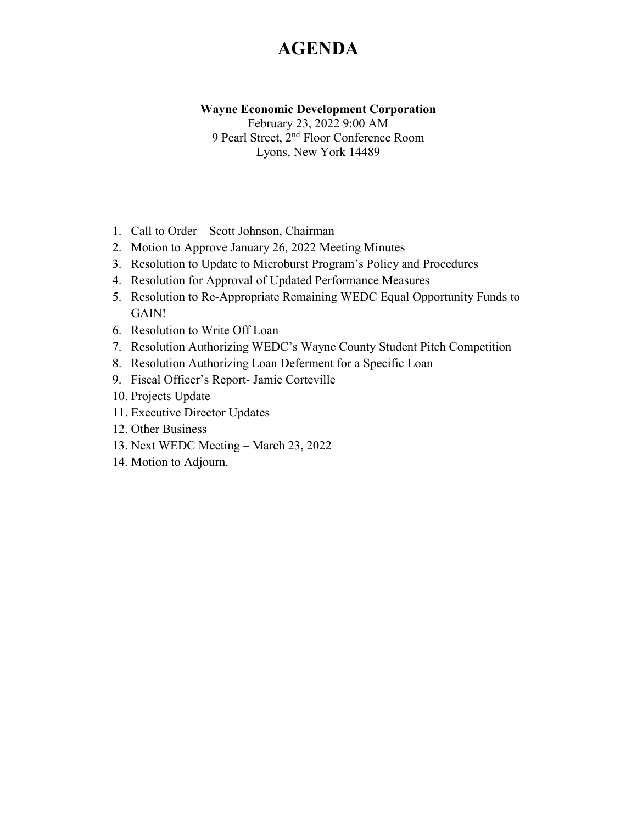## **AGENDA**

**Wayne Economic Development Corporation**

February 23, 2022 9:00 AM 9 Pearl Street, 2nd Floor Conference Room Lyons, New York 14489

- 1. Call to Order Scott Johnson, Chairman
- 2. Motion to Approve January 26, 2022 Meeting Minutes
- 3. Resolution to Update to Microburst Program's Policy and Procedures
- 4. Resolution for Approval of Updated Performance Measures
- 5. Resolution to Re-Appropriate Remaining WEDC Equal Opportunity Funds to GAIN!
- 6. Resolution to Write Off Loan
- 7. Resolution Authorizing WEDC's Wayne County Student Pitch Competition
- 8. Resolution Authorizing Loan Deferment for a Specific Loan
- 9. Fiscal Officer's Report- Jamie Corteville
- 10. Projects Update
- 11. Executive Director Updates
- 12. Other Business
- 13. Next WEDC Meeting March 23, 2022
- 14. Motion to Adjourn.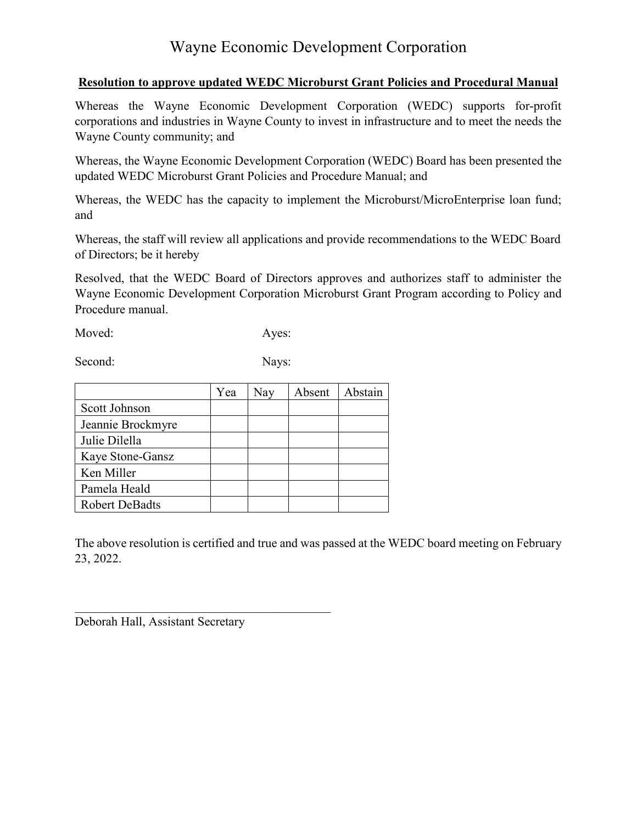#### **Resolution to approve updated WEDC Microburst Grant Policies and Procedural Manual**

Whereas the Wayne Economic Development Corporation (WEDC) supports for-profit corporations and industries in Wayne County to invest in infrastructure and to meet the needs the Wayne County community; and

Whereas, the Wayne Economic Development Corporation (WEDC) Board has been presented the updated WEDC Microburst Grant Policies and Procedure Manual; and

Whereas, the WEDC has the capacity to implement the Microburst/MicroEnterprise loan fund; and

Whereas, the staff will review all applications and provide recommendations to the WEDC Board of Directors; be it hereby

Resolved, that the WEDC Board of Directors approves and authorizes staff to administer the Wayne Economic Development Corporation Microburst Grant Program according to Policy and Procedure manual.

Moved: Ayes:

Second: Nays:

|                       | Yea | Nay | Absent | Abstain |
|-----------------------|-----|-----|--------|---------|
| Scott Johnson         |     |     |        |         |
| Jeannie Brockmyre     |     |     |        |         |
| Julie Dilella         |     |     |        |         |
| Kaye Stone-Gansz      |     |     |        |         |
| Ken Miller            |     |     |        |         |
| Pamela Heald          |     |     |        |         |
| <b>Robert DeBadts</b> |     |     |        |         |

The above resolution is certified and true and was passed at the WEDC board meeting on February 23, 2022.

Deborah Hall, Assistant Secretary

 $\mathcal{L}_\mathcal{L}$  , and the set of the set of the set of the set of the set of the set of the set of the set of the set of the set of the set of the set of the set of the set of the set of the set of the set of the set of th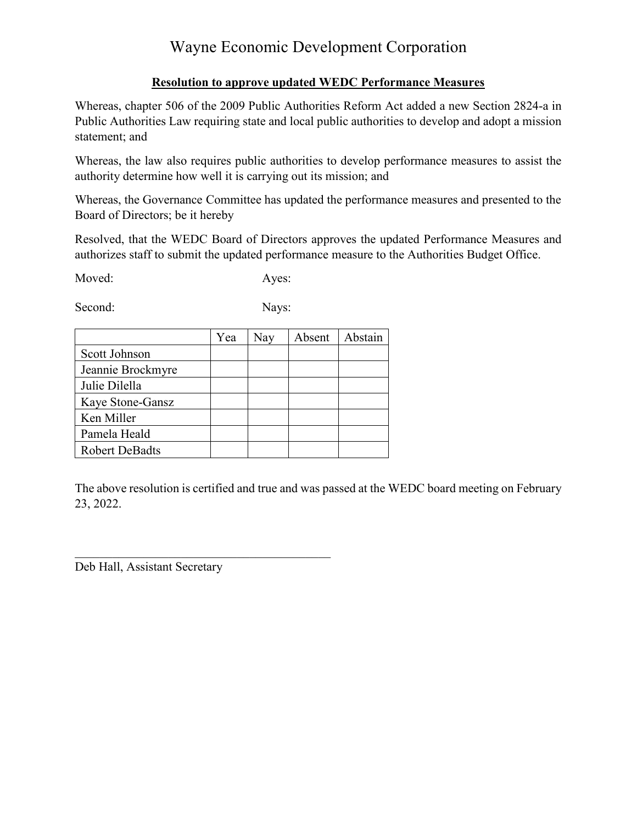### **Resolution to approve updated WEDC Performance Measures**

Whereas, chapter 506 of the 2009 Public Authorities Reform Act added a new Section 2824-a in Public Authorities Law requiring state and local public authorities to develop and adopt a mission statement; and

Whereas, the law also requires public authorities to develop performance measures to assist the authority determine how well it is carrying out its mission; and

Whereas, the Governance Committee has updated the performance measures and presented to the Board of Directors; be it hereby

Resolved, that the WEDC Board of Directors approves the updated Performance Measures and authorizes staff to submit the updated performance measure to the Authorities Budget Office.

Moved: Ayes:

Second: Nays:

|                       | Yea | Nay | Absent | Abstain |
|-----------------------|-----|-----|--------|---------|
| Scott Johnson         |     |     |        |         |
| Jeannie Brockmyre     |     |     |        |         |
| Julie Dilella         |     |     |        |         |
| Kaye Stone-Gansz      |     |     |        |         |
| Ken Miller            |     |     |        |         |
| Pamela Heald          |     |     |        |         |
| <b>Robert DeBadts</b> |     |     |        |         |

The above resolution is certified and true and was passed at the WEDC board meeting on February 23, 2022.

Deb Hall, Assistant Secretary

 $\mathcal{L}_\mathcal{L}$  , and the set of the set of the set of the set of the set of the set of the set of the set of the set of the set of the set of the set of the set of the set of the set of the set of the set of the set of th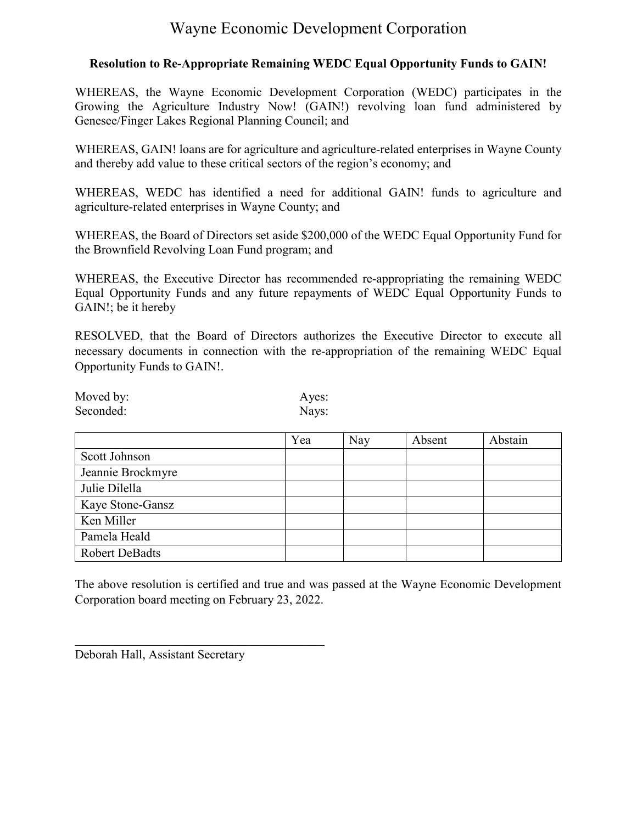#### **Resolution to Re-Appropriate Remaining WEDC Equal Opportunity Funds to GAIN!**

WHEREAS, the Wayne Economic Development Corporation (WEDC) participates in the Growing the Agriculture Industry Now! (GAIN!) revolving loan fund administered by Genesee/Finger Lakes Regional Planning Council; and

WHEREAS, GAIN! loans are for agriculture and agriculture-related enterprises in Wayne County and thereby add value to these critical sectors of the region's economy; and

WHEREAS, WEDC has identified a need for additional GAIN! funds to agriculture and agriculture-related enterprises in Wayne County; and

WHEREAS, the Board of Directors set aside \$200,000 of the WEDC Equal Opportunity Fund for the Brownfield Revolving Loan Fund program; and

WHEREAS, the Executive Director has recommended re-appropriating the remaining WEDC Equal Opportunity Funds and any future repayments of WEDC Equal Opportunity Funds to GAIN!; be it hereby

RESOLVED, that the Board of Directors authorizes the Executive Director to execute all necessary documents in connection with the re-appropriation of the remaining WEDC Equal Opportunity Funds to GAIN!.

| Moved by: | Ayes: |
|-----------|-------|
| Seconded: | Nays: |

|                       | Yea | Nay | Absent | Abstain |
|-----------------------|-----|-----|--------|---------|
| Scott Johnson         |     |     |        |         |
| Jeannie Brockmyre     |     |     |        |         |
| Julie Dilella         |     |     |        |         |
| Kaye Stone-Gansz      |     |     |        |         |
| Ken Miller            |     |     |        |         |
| Pamela Heald          |     |     |        |         |
| <b>Robert DeBadts</b> |     |     |        |         |

The above resolution is certified and true and was passed at the Wayne Economic Development Corporation board meeting on February 23, 2022.

Deborah Hall, Assistant Secretary

\_\_\_\_\_\_\_\_\_\_\_\_\_\_\_\_\_\_\_\_\_\_\_\_\_\_\_\_\_\_\_\_\_\_\_\_\_\_\_\_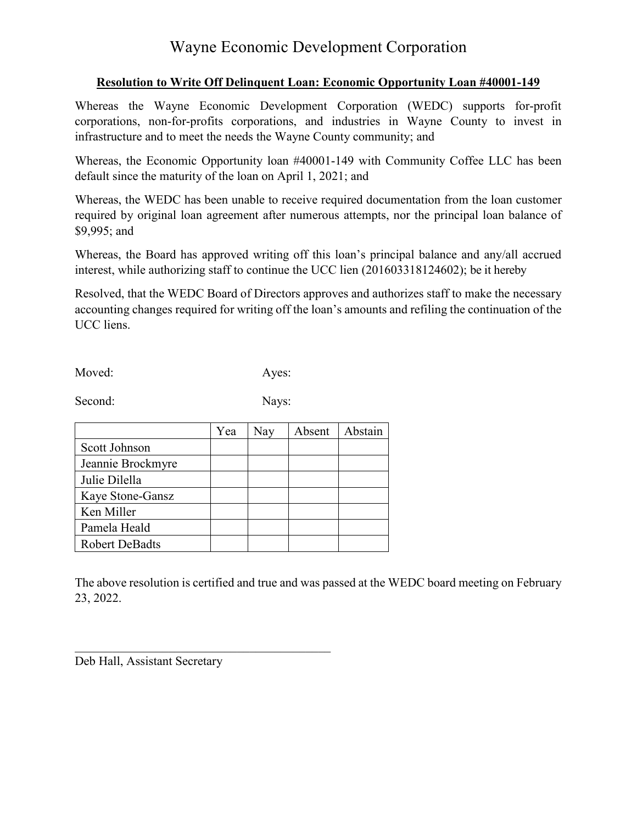### **Resolution to Write Off Delinquent Loan: Economic Opportunity Loan #40001-149**

Whereas the Wayne Economic Development Corporation (WEDC) supports for-profit corporations, non-for-profits corporations, and industries in Wayne County to invest in infrastructure and to meet the needs the Wayne County community; and

Whereas, the Economic Opportunity loan #40001-149 with Community Coffee LLC has been default since the maturity of the loan on April 1, 2021; and

Whereas, the WEDC has been unable to receive required documentation from the loan customer required by original loan agreement after numerous attempts, nor the principal loan balance of \$9,995; and

Whereas, the Board has approved writing off this loan's principal balance and any/all accrued interest, while authorizing staff to continue the UCC lien (201603318124602); be it hereby

Resolved, that the WEDC Board of Directors approves and authorizes staff to make the necessary accounting changes required for writing off the loan's amounts and refiling the continuation of the UCC liens.

Moved: Ayes:

Second: Nays:

|                       | Yea | Nay | Absent | Abstain |
|-----------------------|-----|-----|--------|---------|
| Scott Johnson         |     |     |        |         |
| Jeannie Brockmyre     |     |     |        |         |
| Julie Dilella         |     |     |        |         |
| Kaye Stone-Gansz      |     |     |        |         |
| Ken Miller            |     |     |        |         |
| Pamela Heald          |     |     |        |         |
| <b>Robert DeBadts</b> |     |     |        |         |

The above resolution is certified and true and was passed at the WEDC board meeting on February 23, 2022.

Deb Hall, Assistant Secretary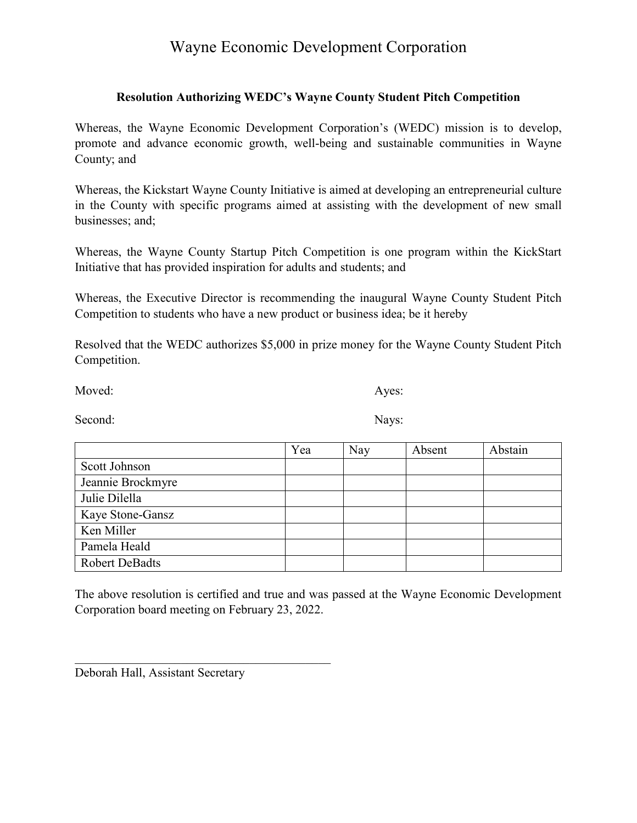#### **Resolution Authorizing WEDC's Wayne County Student Pitch Competition**

Whereas, the Wayne Economic Development Corporation's (WEDC) mission is to develop, promote and advance economic growth, well-being and sustainable communities in Wayne County; and

Whereas, the Kickstart Wayne County Initiative is aimed at developing an entrepreneurial culture in the County with specific programs aimed at assisting with the development of new small businesses; and;

Whereas, the Wayne County Startup Pitch Competition is one program within the KickStart Initiative that has provided inspiration for adults and students; and

Whereas, the Executive Director is recommending the inaugural Wayne County Student Pitch Competition to students who have a new product or business idea; be it hereby

Resolved that the WEDC authorizes \$5,000 in prize money for the Wayne County Student Pitch Competition.

Moved: Ayes:

Second: Nays:

|                       | Yea | Nay | Absent | Abstain |
|-----------------------|-----|-----|--------|---------|
| Scott Johnson         |     |     |        |         |
| Jeannie Brockmyre     |     |     |        |         |
| Julie Dilella         |     |     |        |         |
| Kaye Stone-Gansz      |     |     |        |         |
| Ken Miller            |     |     |        |         |
| Pamela Heald          |     |     |        |         |
| <b>Robert DeBadts</b> |     |     |        |         |

The above resolution is certified and true and was passed at the Wayne Economic Development Corporation board meeting on February 23, 2022.

Deborah Hall, Assistant Secretary